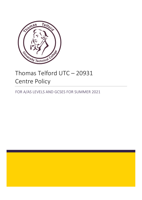

# Thomas Telford UTC – 20931 Centre Policy

FOR A/AS LEVELS AND GCSES FOR SUMMER 2021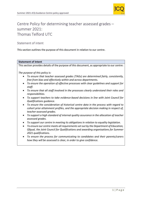

## Centre Policy for determining teacher assessed grades – summer 2021: Thomas Telford UTC

## Statement of intent

This section outlines the purpose of this document in relation to our centre.

#### **Statement of Intent**

This section provides details of the purpose of this document, as appropriate to our centre:

*The purpose of this policy is:*

- *To ensure that teacher assessed grades (TAGs) are determined fairly, consistently, free from bias and effectively within and across departments.*
- *To ensure the operation of effective processes with clear guidelines and support for staff.*
- *To ensure that all staff involved in the processes clearly understand their roles and responsibilities.*
- *To support teachers to take evidence-based decisions in line with Joint Council for Qualifications guidance.*
- *To ensure the consideration of historical centre data in the process with regard to cohort prior attainment profiles, and the appropriate decision making in respect of, teacher assessed grades.*
- *To support a high standard of internal quality assurance in the allocation of teacher assessed grades.*
- *To support our centre in meeting its obligations in relation to equality legislation.*
- *To ensure our centre meets all requirements set out by the Department of Education, Ofqual, the Joint Council for Qualifications and awarding organisations for Summer 2021 qualifications.*
- *To ensure the process for communicating to candidates and their parents/carers how they will be assessed is clear, in order to give confidence.*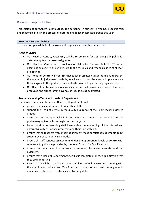

## Roles and responsibilities

This section of our Centre Policy outlines the personnel in our centre who have specific roles and responsibilities in the process of determining teacher assessed grades this year.

#### **Roles and Responsibilities**

This section gives details of the roles and responsibilities within our centre:

#### *Head of Centre*

- Our Head of Centre, Avtar Gill, will be responsible for approving our policy for determining teacher assessed grades.
- Our Head of Centre has overall responsibility for Thomas Telford UTC as an examinations centre and will ensure that clear roles and responsibilities of all staff are defined.
- Our Head of Centre will confirm that teacher assessed grade decisions represent the academic judgement made by teachers and that the checks in place ensure these align with the guidance on standards provided by awarding organisations.
- Our Head of Centre will ensure a robust internal quality assurance process has been produced and signed-off in advance of results being submitted.

#### **Senior Leadership Team and Heads of Department**

Our Senior Leadership Team and Heads of Departments will:

- provide training and support to our other staff.
- support the Head of Centre in the quality assurance of the final teacher assessed grades.
- ensure an effective approach within and across departments and authenticating the preliminary outcome from single teacher subjects.
- be responsible for ensuring staff have a clear understanding of the internal and external quality assurance processes and their role within it.
- ensure that all teachers within their department make consistent judgements about student evidence in deriving a grade.
- ensure all staff conduct assessments under the appropriate levels of control with reference to guidance provided by the Joint Council for Qualifications.
- ensure teachers have the information required to make accurate and fair judgments.
- ensure that a Head of Department Checklist is completed for each qualification that they are submitting.
- Ensure that each head of Department completes a Quality Assurance meeting with the examinations officer and Vice Principal, to question and test the judgements made, with reference to historical and tracking data.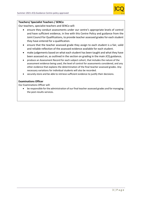

#### **Teachers/ Specialist Teachers / SENCo**

Our teachers, specialist teachers and SENCo will:

- ensure they conduct assessments under our centre's appropriate levels of control and have sufficient evidence, in line with this Centre Policy and guidance from the Joint Council for Qualifications, to provide teacher assessed grades for each student they have entered for a qualification.
- ensure that the teacher assessed grade they assign to each student is a fair, valid and reliable reflection of the assessed evidence available for each student.
- make judgements based on what each student has been taught and what they have been assessed on, as outlined in the section on grading in the main JCQ guidance**.**
- produce an Assessment Record for each subject cohort, that includes the nature of the assessment evidence being used, the level of control for assessments considered, and any other evidence that explains the determination of the final teacher assessed grades. Any necessary variations for individual students will also be recorded.
- securely store and be able to retrieve sufficient evidence to justify their decisions.

#### **Examinations Officer**

Our Examinations Officer will:

• be responsible for the administration of our final teacher assessed grades and for managing the post-results services.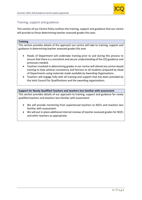

## Training, support and guidance

This section of our Centre Policy outlines the training, support and guidance that our centre will provide to those determining teacher assessed grades this year.

#### **Training**

This section provides details of the approach our centre will take to training, support and guidance in determining teacher assessed grades this year

- Heads of Department will undertake training prior to and during this process to ensure that there is a consistent and secure understanding of the JCQ guidance and processes needed.
- Teachers involved in determining grades in our centre will attend any centre-based training to help achieve consistency and fairness to all students prepared by Head of Departments using materials made available by Awarding Organisations.
- Teachers will engage fully with all training and support that has been provided by the Joint Council for Qualifications and the awarding organisations.

#### **Support for Newly Qualified Teachers and teachers less familiar with assessment**

This section provides details of our approach to training, support and guidance for newly qualified teachers and teachers less familiar with assessment

- We will provide mentoring from experienced teachers to NQTs and teachers less familiar with assessment.
- We will put in place additional internal reviews of teacher assessed grades for NQTs and other teachers as appropriate.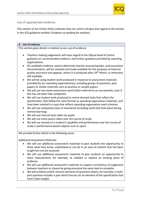

## Use of appropriate evidence

This section of our Centre Policy indicates how our centre will give due regard to the section in the JCQ guidance entitled: *Guidance on grading for teachers*.

#### **A. Use of evidence**

This section gives details in relation to our use of evidence.

- Teachers making judgements will have regard to the Ofqual Head of Centre guidance on recommended evidence, and further guidance provided by awarding organisations.
- All candidate evidence used to determine teacher assessed grades, and associated documentation, will be retained and made available for the purposes of external quality assurance and appeals, where it is produced after 24<sup>th</sup> March, or otherwise still available.
- We will be using student work produced in response to assessment materials provided by our awarding organisation(s), including groups of questions, past papers or similar materials such as practice or sample papers.
- We will use non-exam assessment work (often referred to as coursework), even if this has not been fully completed.
- We will use student work produced in centre-devised tasks that reflect the specification, that follow the same format as awarding organisation materials, and have been marked in a way that reflects awarding organisation mark schemes.
- We will use substantial class or homework (including work that took place during remote learning).
- We will use internal tests taken by pupils.
- We will use mock exams taken over the course of study.
- We will use records of a student's capability and performance over the course of study in performance-based subjects such as sport.

We provide further detail in the following areas:

Additional Assessment Materials

- We will use additional assessment materials to give students the opportunity to show what they know, understand or can do in an area of content that has been taught but not yet assessed.
- We will use additional assessment materials to give students an opportunity to show improvement, for example, to validate or replace an existing piece of evidence.
- We will use additional assessment materials to support consistency of judgement between teachers or classes by giving everyone the same task to complete.
- We will combine and/or remove elements of questions where, for example, a multipart question includes a part which focuses on an element of the specification that hasn't been taught.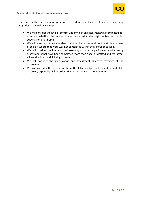

Our centre will ensure the appropriateness of evidence and balance of evidence in arriving at grades in the following ways:

- We will consider the level of control under which an assessment was completed, for example, whether the evidence was produced under high control and under supervision or at home.
- We will ensure that we are able to authenticate the work as the student's own, especially where that work was not completed within the school or college.
- We will consider the limitations of assessing a student's performance when using assessments that have been completed more than once, or drafted and redrafted, where this is not a skill being assessed.
- We will consider the specification and assessment objective coverage of the assessment.
- We will consider the depth and breadth of knowledge, understanding and skills assessed, especially higher order skills within individual assessments.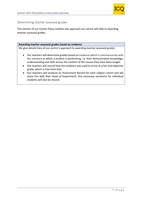

## Determining teacher assessed grades

This section of our Centre Policy outlines the approach our centre will take to awarding teacher assessed grades.

#### **Awarding teacher assessed grades based on evidence**

We give details here of our centre's approach to awarding teacher assessed grades.

- Our teachers will determine grades based on evidence which is commensurate with the standard at which a student is performing, i.e. their demonstrated knowledge, understanding and skills across the content of the course they have been taught.
- Our teachers will record how the evidence was used to arrive at a fair and objective grade, which is free from bias.
- Our teachers will produce an Assessment Record for each subject cohort and will share this with their Head of Department. Any necessary variations for individual students will also be shared.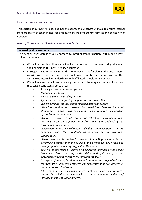

## Internal quality assurance

This section of our Centre Policy outlines the approach our centre will take to ensure internal standardisation of teacher assessed grades, to ensure consistency, fairness and objectivity of decisions.

#### *Head of Centre Internal Quality Assurance and Declaration*

#### **Internal quality assurance**

This section gives details of our approach to internal standardisation, within and across subject departments.

- We will ensure that all teachers involved in deriving teacher assessed grades read and understand this Centre Policy document.
- In subjects where there is more than one teacher and/or class in the department, we will ensure that our centre carries out an internal standardisation process. This will involve internally standardising with affiliated schools within our MAT.
- We will ensure that all teachers are provided with training and support to ensure they take a consistent approach to:
	- Arriving at teacher assessed grades
	- Marking of evidence
	- *Reaching a holistic grading decision*
	- *Applying the use of grading support and documentation*
	- *We will conduct internal standardisation across all grades.*
	- *We will ensure that the Assessment Record will form the basis of internal standardisation and discussions across teachers to agree the awarding of teacher assessed grades.*
	- *Where necessary, we will review and reflect on individual grading decisions to ensure alignment with the standards as outlined by our awarding organisations.*
	- *Where appropriate, we will amend individual grade decisions to ensure alignment with the standards as outlined by our awarding organisations.*
	- *Where there is only one teacher involved in marking assessments and determining grades, then the output of this activity will be reviewed by an appropriate member of staff within the centre.*
	- *This will be the Head of Centre or a delegated member of the Senior Leadership Team, working with advice and guidance from an appropriately skilled member of staff from the trust.*
	- *In respect of equality legislation, we will consider the range of evidence for students of different protected characteristics that are included in our internal standardisation.*
	- *All notes made during evidence-based meetings will be securely stored and made available to awarding bodies upon request as evidence of internal quality assurance process.*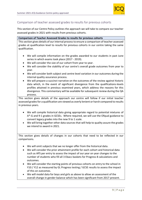

## Comparison of teacher assessed grades to results for previous cohorts

This section of our Centre Policy outlines the approach we will take to compare our teacher assessed grades in 2021 with results from previous cohorts.

#### **Comparison of Teacher Assessed Grades to results for previous cohorts**

This section gives details of our internal process to ensure a comparison of teacher assessed grades at qualification level to results for previous cohorts in our centre taking the same qualification.

- We will compile information on the grades awarded to our students in past June series in which exams took place (2017 - 2019).
- We will consider the size of our cohort from year to year.
- We will consider the stability of our centre's overall grade outcomes from year to year.
- We will consider both subject and centre level variation in our outcomes during the internal quality assurance process.
- We will prepare a succinct narrative on the outcomes of the review against historic data which, in the event of significant divergence from the qualifications-levels profiles attained in previous examined years, which address the reasons for this divergence. This commentary will be available for subsequent review during the QA process.

This section gives details of the approach our centre will follow if our initial teacher assessed grades for a qualification are viewed as overly lenient or harsh compared to results in previous years.

- We will compile historical data giving appropriate regard to potential mixtures of A\*-G and 9-1 grades in GCSEs. Where required, we will use the Ofqual guidance to convert legacy grades into the new 9 to 1 scale.
- We will bring together other data sources that will help to quality assure the grades we intend to award in 2021.

This section gives details of changes in our cohorts that need to be reflected in our comparisons.

- We will omit subjects that we no longer offer from the historical data.
- We will consider the prior attainment profile for each cohort and historical data such as APS per entry to assess the impact of our year on year changes to the number of students who fill all 3 Ebacc baskets for Progress 8 calculations and outcomes.
- We will consider the starting points of previous cohorts on entry to the school in Y10 / Y12 as measured by GL Progress testing / GCSE results to assess the impact of this on outcomes.
- We will model data for boys and girls as above to allow an assessment of the overall change in gender balance which has been significant from 2017-present*.*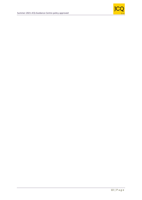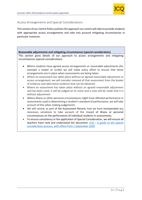

## Access Arrangements and Special Considerations

This section of our Centre Policy outlines the approach our centre will take to provide students with appropriate access arrangements and take into account mitigating circumstances in particular instances.

#### **Reasonable adjustments and mitigating circumstances (special consideration)**

This section gives details of our approach to access arrangements and mitigating circumstances (special consideration).

- Where students have agreed access arrangements or reasonable adjustments (for example a reader or scribe) we will make every effort to ensure that these arrangements are in place when assessments are being taken.
- Where an assessment has taken place without an agreed reasonable adjustment or access arrangement, we will consider removal of that assessment from the basket of evidence and alternative evidence that can be obtained.
- Where an assessment has taken place without an agreed reasonable adjustment and has been used, it will be judged on its merit and a note will be made that it is without adjustment.
- Where illness or other personal circumstances might have affected performance in assessments used in determining a student's standard of performance, we will take account of this when making judgements.
- We will record, as part of the Assessment Record, how we have incorporated any necessary variations to take account of the impact of illness or personal circumstances on the performance of individual students in assessments.
- To ensure consistency in the application of Special Consideration, we will ensure all teachers have read and understood the document:  $JCQ - A$  guide to the special [consideration process, with effect from 1 September 2020](https://www.jcq.org.uk/wp-content/uploads/2020/08/A-guide-to-the-spec-con-process-202021-Website-version.pdf)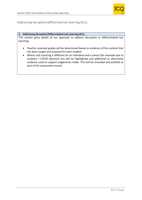

## Addressing disruption/differential lost learning (DLL)

#### B. **Addressing Disruption/Differentiated Lost Learning (DLL)**

This section gives details of our approach to address disruption or differentiated lost teaching.

- Teacher assessed grades will be determined based on evidence of the content that has been taught and assessed for each student.
- Where Lost Learning is different for an individual and a cohort (for example due to Isolation / COVID absence) this will be highlighted and additional or alternative evidence used to support judgements made. This will be recorded and justified as part of the assessment record.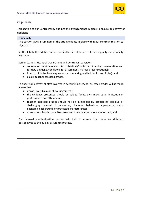

## **Objectivity**

This section of our Centre Policy outlines the arrangements in place to ensure objectivity of decisions.

### **Objectivity**

This section gives a summary of the arrangements in place within our centre in relation to objectivity.

Staff will fulfil their duties and responsibilities in relation to relevant equality and disability legislation.

Senior Leaders, Heads of Department and Centre will consider:

- sources of unfairness and bias (situations/contexts, difficulty, presentation and format, language, conditions for assessment, marker preconceptions);
- how to minimise bias in questions and marking and hidden forms of bias); and
- bias in teacher assessed grades.

To ensure objectivity, all staff involved in determining teacher assessed grades will be made aware that:

- unconscious bias can skew judgements;
- the evidence presented should be valued for its own merit as an indication of performance and attainment;
- teacher assessed grades should not be influenced by candidates' positive or challenging personal circumstances, character, behaviour, appearance, socioeconomic background, or protected characteristics;
- unconscious bias is more likely to occur when quick opinions are formed; and

Our internal standardisation process will help to ensure that there are different perspectives to the quality assurance process.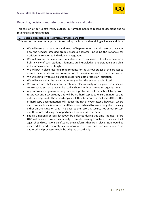

## Recording decisions and retention of evidence and data

This section of our Centre Policy outlines our arrangements to recording decisions and to retaining evidence and data.

|                                                                                            |           | C. Recording Decisions and Retention of Evidence and Data                               |
|--------------------------------------------------------------------------------------------|-----------|-----------------------------------------------------------------------------------------|
| This section outlines our approach to recording decisions and retaining evidence and data. |           |                                                                                         |
|                                                                                            |           |                                                                                         |
|                                                                                            | $\bullet$ | We will ensure that teachers and Heads of Departments maintain records that show        |
|                                                                                            |           | how the teacher assessed grades process operated, including the rationale for           |
|                                                                                            |           | decisions in relation to individual marks/grades.                                       |
|                                                                                            | $\bullet$ | We will ensure that evidence is maintained across a variety of tasks to develop a       |
|                                                                                            |           | holistic view of each student's demonstrated knowledge, understanding and skills        |
|                                                                                            |           | in the areas of content taught.                                                         |
|                                                                                            | $\bullet$ | We will put in place recording requirements for the various stages of the process to    |
|                                                                                            |           | ensure the accurate and secure retention of the evidence used to make decisions.        |
|                                                                                            | $\bullet$ | We will comply with our obligations regarding data protection legislation.              |
|                                                                                            | $\bullet$ | We will ensure that the grades accurately reflect the evidence submitted.               |
|                                                                                            | $\bullet$ | We will ensure that evidence is retained electronically or on paper in a secure         |
|                                                                                            |           | centre-based system that can be readily shared with our awarding organisations.         |
|                                                                                            | $\bullet$ | Any information generated, e.g. evidence proformas will be subject to rigorous          |
|                                                                                            |           | tutor, IQA and EQA scrutiny and will be via hard copies to ensure signatures and        |
|                                                                                            |           | dates are captured. These hard copies will then be stored in the Exams Office. Use      |
|                                                                                            |           | of hard copy documentation will reduce the risk of cyber attack, however, where         |
|                                                                                            |           | electronic evidence is required, staff have been advised to save a copy electronically  |
|                                                                                            |           | either on One Drive or USB. This ensures the record is secure, not on our system        |
|                                                                                            |           | and therefore reducing the opportunities for any cyber attacks.                         |
|                                                                                            | $\bullet$ | Should a national or local lockdown be enforced during this time Thomas Telford         |
|                                                                                            |           | UTC will be able to switch seamlessly to remote learning from face to face and back     |
|                                                                                            |           | again should restrictions be lifted via the platforms that are in place. Staff would be |
|                                                                                            |           | expected to work remotely (as previously) to ensure evidence continues to be            |

gathered and processes would be adapted accordingly.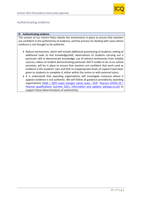

## Authenticating evidence

#### **D. Authenticating evidence**

This section of our Centre Policy details the mechanisms in place to ensure that teachers are confident in the authenticity of evidence, and the process for dealing with cases where evidence is not thought to be authentic.

- Robust mechanisms, which will include additional questioning of students; setting of additional tasks to test knowledge/skill; observations of students carrying out a particular skill to demonstrate knowledge; use of witness testimonies from reliable sources; videos of student demonstrating particular skill if unable to do so on school premises, will be in place to ensure that teachers are confident that work used as evidence is the students' own and that no inappropriate levels of support have been given to students to complete it, either within the centre or with external tutors.
- It is understood that awarding organisations will investigate instances where it appears evidence is not authentic. We will follow all guidance provided by awarding organisations [\(AQA | 2021 exam changes](https://www.aqa.org.uk/2021-exam-changes) [Latest news -](https://www.ocr.org.uk/news/) OCR [Pearson COVID-19 |](https://qualifications.pearson.com/en/campaigns/pearson-covid-19.html)  [Pearson qualifications](https://qualifications.pearson.com/en/campaigns/pearson-covid-19.html) [Summer 2021: Information and updates \(eduqas.co.uk\)](https://www.eduqas.co.uk/home/summer-2021-information-and-updates/) to support these determinations of authenticity.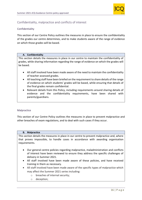

## Confidentiality, malpractice and conflicts of interest

#### Confidentiality

This section of our Centre Policy outlines the measures in place to ensure the confidentiality of the grades our centre determines, and to make students aware of the range of evidence on which those grades will be based.

#### **A. Confidentiality**

This section details the measures in place in our centre to maintain the confidentiality of grades, while sharing information regarding the range of evidence on which the grades will be based.

- All staff involved have been made aware of the need to maintain the confidentiality of teacher assessed grades.
- All teaching staff have been briefed on the requirement to share details of the range of evidence on which students' grades will be based, while ensuring that details of the final grades remain confidential.
- Relevant details from this Policy, including requirements around sharing details of evidence and the confidentiality requirements, have been shared with parents/guardians.

#### Malpractice

This section of our Centre Policy outlines the measures in place to prevent malpractice and other breaches of exam regulations, and to deal with such cases if they occur.

#### **B. Malpractice**

This section details the measures in place in our centre to prevent malpractice and, where that proves impossible, to handle cases in accordance with awarding organisation requirements.

- Our general centre policies regarding malpractice, maladministration and conflicts of interest have been reviewed to ensure they address the specific challenges of delivery in Summer 2021.
- All staff involved have been made aware of these policies, and have received training in them as necessary.
- All staff involved have been made aware of the specific types of malpractice which may affect the Summer 2021 series including:
	- o breaches of internal security;
	- o deception;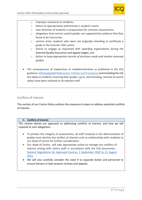

- o improper assistance to students;
- o failure to appropriately authenticate a student's work;
- o over direction of students in preparation for common assessments;
- o allegations that centres submit grades not supported by evidence that they know to be inaccurate;
- $\circ$  centres enter students who were not originally intending to certificate a grade in the Summer 2021 series;
- o failure to engage as requested with awarding organisations during the External Quality Assurance and appeal stages; and
- o *failure to keep appropriate records of decisions made and teacher assessed grades.*
- The consequences of malpractice or maladministration as published in the JCQ guidance: [JCQ Suspected](https://www.jcq.org.uk/exams-office/malpractice/jcq-suspected-malpractice-policies-and-procedures-2019-2020) Malpractice: Policies and Procedures and including the risk of a delay to students receiving their grades, up to, and including, removal of centre status have been outlined to all relevant staff.

## Conflicts of Interest

This section of our Centre Policy outlines the measures in place to address potential conflicts of interest.

#### **C. Conflicts of Interest**

This section details our approach to addressing conflicts of interest, and how we will respond to such allegations.

- To protect the integrity of assessments, all staff involved in the determination of grades must declare any conflict of interest such as relationships with students to our Head of Centre for further consideration.
- Our Head of Centre will take appropriate action to manage any conflicts of interest arising with centre staff in accordance with the JCQ documents - [General Regulations for Approved Centres, 1 September 2020 to 31 August](https://www.jcq.org.uk/wp-content/uploads/2020/09/Gen_regs_approved_centres_20-21_FINAL.pdf)  [2021.](https://www.jcq.org.uk/wp-content/uploads/2020/09/Gen_regs_approved_centres_20-21_FINAL.pdf)
- We will also carefully consider the need if to separate duties and personnel to ensure fairness in later process reviews and appeals.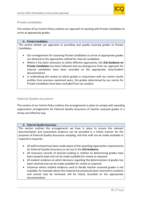

## Private candidates

This section of our Centre Policy outlines our approach to working with Private Candidates to arrive at appropriate grades.

#### **A. Private Candidates**

*This section details our approach to providing and quality assuring grades to Private Candidates.*

- Our arrangements for assessing Private Candidates to arrive at appropriate grades are identical to the approaches utilised for internal candidates.
- Where it has been necessary to utilise different approaches, the **JCQ Guidance on Private Candidates** has been followed and any divergences from our approach for internal candidates have been recorded on the appropriate class/student documentation.
- In undertaking the review of cohort grades in conjunction with our centre results profiles from previous examined years, the grades determined by our centre for Private Candidates have been excluded from our analysis.

## External Quality Assurance

This section of our Centre Policy outlines the arrangements in place to comply with awarding organisation arrangements for External Quality Assurance of teacher assessed grades in a timely and effective way.

#### **A. External Quality Assurance**

This section outlines the arrangements we have in place to ensure the relevant documentation and assessment evidence can be provided in a timely manner for the purposes of External Quality Assurance sampling, and that staff can be made available to respond to enquiries.

- All staff involved have been made aware of the awarding organisation requirements for External Quality Assurance as set out in the **JCQ Guidance**.
- All necessary records of decision-making in relation to determining grades have been properly kept and can be made available for review as required.
- All student evidence on which decisions regarding the determination of grades has been retained and can be made available for review as required.
- Instances where student evidence used to decide teacher assessed grades is not available, for example where the material has previously been returned to students and cannot now be retrieved, will be clearly recorded on the appropriate documentation.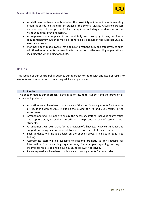

- All staff involved have been briefed on the possibility of interaction with awarding organisations during the different stages of the External Quality Assurance process and can respond promptly and fully to enquiries, including attendance at Virtual Visits should this prove necessary.
- Arrangements are in place to respond fully and promptly to any additional requirements/reviews that may be identified as a result of the External Quality Assurance process.
- Staff have been made aware that a failure to respond fully and effectively to such additional requirements may result in further action by the awarding organisations, including the withholding of results.

## Results

This section of our Centre Policy outlines our approach to the receipt and issue of results to students and the provision of necessary advice and guidance.

#### **A. Results**

This section details our approach to the issue of results to students and the provision of advice and guidance.

- All staff involved have been made aware of the specific arrangements for the issue of results in Summer 2021, including the issuing of A/AS and GCSE results in the same week.
- Arrangements will be made to ensure the necessary staffing, including exams office and support staff, to enable the efficient receipt and release of results to our students.
- Arrangements will be in place for the provision of all necessary advice, guidance and support, including pastoral support, to students on receipt of their results.
- Such guidance will include advice on the appeals process in place in 2021 (see below).
- Appropriate staff will be available to respond promptly to any requests for information from awarding organisations, for example regarding missing or incomplete results, to enable such issues to be swiftly resolved.
- Parents/guardians have been made aware of arrangements for results days.